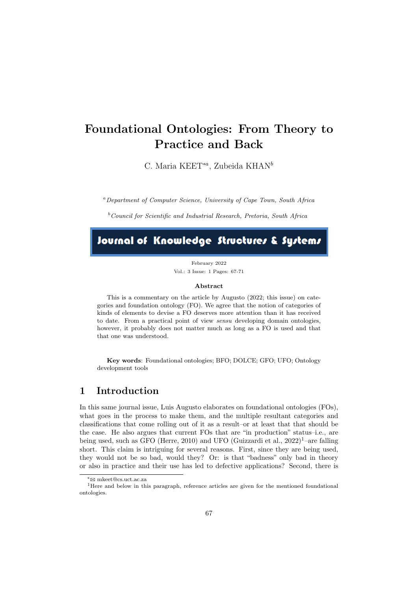# Foundational Ontologies: From Theory to Practice and Back

C. Maria KEET<sup>\*a</sup>, Zubeida KHAN<sup>b</sup>

<sup>a</sup>Department of Computer Science, University of Cape Town, South Africa

 $b$ <sup>b</sup>Council for Scientific and Industrial Research, Pretoria, South Africa

# Journal of Knowledge Structures & Systems

February 2022 Vol.: 3 Issue: 1 Pages: 67-71

#### Abstract

This is a commentary on the article by Augusto (2022; this issue) on categories and foundation ontology (FO). We agree that the notion of categories of kinds of elements to devise a FO deserves more attention than it has received to date. From a practical point of view sensu developing domain ontologies, however, it probably does not matter much as long as a FO is used and that that one was understood.

Key words: Foundational ontologies; BFO; DOLCE; GFO; UFO; Ontology development tools

### 1 Introduction

In this same journal issue, Luis Augusto elaborates on foundational ontologies (FOs), what goes in the process to make them, and the multiple resultant categories and classifications that come rolling out of it as a result–or at least that that should be the case. He also argues that current FOs that are "in production" status–i.e., are being used, such as GFO (Herre, 2010) and UFO (Guizzardi et al.,  $2022$ )<sup>1</sup>-are falling short. This claim is intriguing for several reasons. First, since they are being used, they would not be so bad, would they? Or: is that "badness" only bad in theory or also in practice and their use has led to defective applications? Second, there is

<sup>∗</sup>B mkeet@cs.uct.ac.za

<sup>&</sup>lt;sup>1</sup>Here and below in this paragraph, reference articles are given for the mentioned foundational ontologies.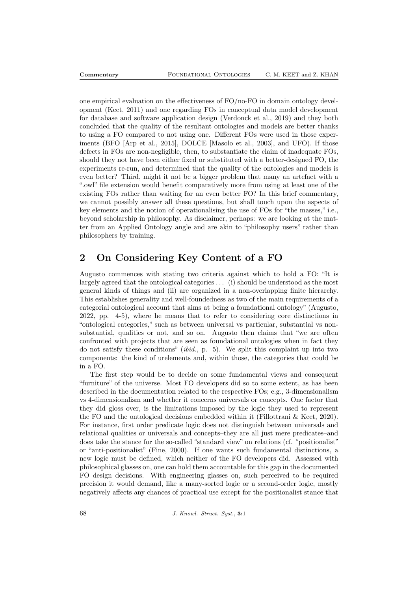one empirical evaluation on the effectiveness of FO/no-FO in domain ontology development (Keet, 2011) and one regarding FOs in conceptual data model development for database and software application design (Verdonck et al., 2019) and they both concluded that the quality of the resultant ontologies and models are better thanks to using a FO compared to not using one. Different FOs were used in those experiments (BFO [Arp et al., 2015], DOLCE [Masolo et al., 2003], and UFO). If those defects in FOs are non-negligible, then, to substantiate the claim of inadequate FOs, should they not have been either fixed or substituted with a better-designed FO, the experiments re-run, and determined that the quality of the ontologies and models is even better? Third, might it not be a bigger problem that many an artefact with a ".owl" file extension would benefit comparatively more from using at least one of the existing FOs rather than waiting for an even better FO? In this brief commentary, we cannot possibly answer all these questions, but shall touch upon the aspects of key elements and the notion of operationalising the use of FOs for "the masses," i.e., beyond scholarship in philosophy. As disclaimer, perhaps: we are looking at the matter from an Applied Ontology angle and are akin to "philosophy users" rather than philosophers by training.

# 2 On Considering Key Content of a FO

Augusto commences with stating two criteria against which to hold a FO: "It is largely agreed that the ontological categories . . . (i) should be understood as the most general kinds of things and (ii) are organized in a non-overlapping finite hierarchy. This establishes generality and well-foundedness as two of the main requirements of a categorial ontological account that aims at being a foundational ontology" (Augusto, 2022, pp. 4-5), where he means that to refer to considering core distinctions in "ontological categories," such as between universal vs particular, substantial vs nonsubstantial, qualities or not, and so on. Augusto then claims that "we are often confronted with projects that are seen as foundational ontologies when in fact they do not satisfy these conditions" (ibid., p. 5). We split this complaint up into two components: the kind of urelements and, within those, the categories that could be in a FO.

The first step would be to decide on some fundamental views and consequent "furniture" of the universe. Most FO developers did so to some extent, as has been described in the documentation related to the respective FOs; e.g., 3-dimensionalism vs 4-dimensionalism and whether it concerns universals or concepts. One factor that they did gloss over, is the limitations imposed by the logic they used to represent the FO and the ontological decisions embedded within it (Fillottrani & Keet, 2020). For instance, first order predicate logic does not distinguish between universals and relational qualities or universals and concepts–they are all just mere predicates–and does take the stance for the so-called "standard view" on relations (cf. "positionalist" or "anti-positionalist" (Fine, 2000). If one wants such fundamental distinctions, a new logic must be defined, which neither of the FO developers did. Assessed with philosophical glasses on, one can hold them accountable for this gap in the documented FO design decisions. With engineering glasses on, such perceived to be required precision it would demand, like a many-sorted logic or a second-order logic, mostly negatively affects any chances of practical use except for the positionalist stance that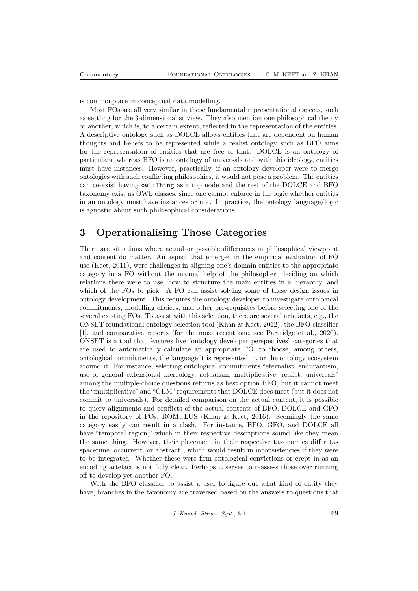is commonplace in conceptual data modelling.

Most FOs are all very similar in those fundamental representational aspects, such as settling for the 3-dimensionalist view. They also mention one philosophical theory or another, which is, to a certain extent, reflected in the representation of the entities. A descriptive ontology such as DOLCE allows entities that are dependent on human thoughts and beliefs to be represented while a realist ontology such as BFO aims for the representation of entities that are free of that. DOLCE is an ontology of particulars, whereas BFO is an ontology of universals and with this ideology, entities must have instances. However, practically, if an ontology developer were to merge ontologies with such conflicting philosophies, it would not pose a problem. The entities can co-exist having owl:Thing as a top node and the rest of the DOLCE and BFO taxonomy exist as OWL classes, since one cannot enforce in the logic whether entities in an ontology must have instances or not. In practice, the ontology language/logic is agnostic about such philosophical considerations.

## 3 Operationalising Those Categories

There are situations where actual or possible differences in philosophical viewpoint and content do matter. An aspect that emerged in the empirical evaluation of FO use (Keet, 2011), were challenges in aligning one's domain entities to the appropriate category in a FO without the manual help of the philosopher, deciding on which relations there were to use, how to structure the main entities in a hierarchy, and which of the FOs to pick. A FO can assist solving some of these design issues in ontology development. This requires the ontology developer to investigate ontological commitments, modelling choices, and other pre-requisites before selecting one of the several existing FOs. To assist with this selection, there are several artefacts, e.g., the ONSET foundational ontology selection tool (Khan & Keet, 2012), the BFO classifier [1], and comparative reports (for the most recent one, see Partridge et al., 2020). ONSET is a tool that features five "ontology developer perspectives" categories that are used to automatically calculate an appropriate FO, to choose, among others, ontological commitments, the language it is represented in, or the ontology ecosystem around it. For instance, selecting ontological commitments "eternalist, endurantism, use of general extensional mereology, actualism, multiplicative, realist, universals" among the multiple-choice questions returns as best option BFO, but it cannot meet the "multiplicative" and "GEM" requirements that DOLCE does meet (but it does not commit to universals). For detailed comparison on the actual content, it is possible to query alignments and conflicts of the actual contents of BFO, DOLCE and GFO in the repository of FOs, ROMULUS (Khan & Keet, 2016). Seemingly the same category easily can result in a clash. For instance, BFO, GFO, and DOLCE all have "temporal region," which in their respective descriptions sound like they mean the same thing. However, their placement in their respective taxonomies differ (as spacetime, occurrent, or abstract), which would result in inconsistencies if they were to be integrated. Whether these were firm ontological convictions or crept in as an encoding artefact is not fully clear. Perhaps it serves to reassess those over running off to develop yet another FO.

With the BFO classifier to assist a user to figure out what kind of entity they have, branches in the taxonomy are traversed based on the answers to questions that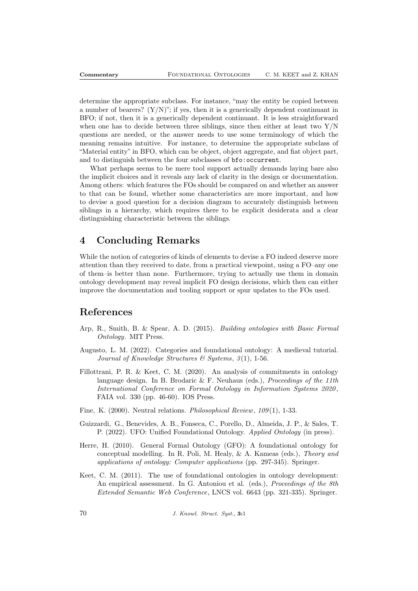determine the appropriate subclass. For instance, "may the entity be copied between a number of bearers?  $(Y/N)$ "; if yes, then it is a generically dependent continuant in BFO; if not, then it is a generically dependent continuant. It is less straightforward when one has to decide between three siblings, since then either at least two  $Y/N$ questions are needed, or the answer needs to use some terminology of which the meaning remains intuitive. For instance, to determine the appropriate subclass of "Material entity" in BFO, which can be object, object aggregate, and fiat object part, and to distinguish between the four subclasses of bfo:occurrent.

What perhaps seems to be mere tool support actually demands laying bare also the implicit choices and it reveals any lack of clarity in the design or documentation. Among others: which features the FOs should be compared on and whether an answer to that can be found, whether some characteristics are more important, and how to devise a good question for a decision diagram to accurately distinguish between siblings in a hierarchy, which requires there to be explicit desiderata and a clear distinguishing characteristic between the siblings.

# 4 Concluding Remarks

While the notion of categories of kinds of elements to devise a FO indeed deserve more attention than they received to date, from a practical viewpoint, using a FO–any one of them–is better than none. Furthermore, trying to actually use them in domain ontology development may reveal implicit FO design decisions, which then can either improve the documentation and tooling support or spur updates to the FOs used.

### References

- Arp, R., Smith, B. & Spear, A. D. (2015). Building ontologies with Basic Formal Ontology. MIT Press.
- Augusto, L. M. (2022). Categories and foundational ontology: A medieval tutorial. Journal of Knowledge Structures  $\mathcal{B}$  Systems, 3(1), 1-56.
- Fillottrani, P. R. & Keet, C. M. (2020). An analysis of commitments in ontology language design. In B. Brodaric  $\&$  F. Neuhaus (eds.), *Proceedings of the 11th* International Conference on Formal Ontology in Information Systems 2020 , FAIA vol. 330 (pp. 46-60). IOS Press.
- Fine, K. (2000). Neutral relations. *Philosophical Review*, 109(1), 1-33.
- Guizzardi, G., Benevides, A. B., Fonseca, C., Porello, D., Almeida, J. P., & Sales, T. P. (2022). UFO: Unified Foundational Ontology. Applied Ontology (in press).
- Herre, H. (2010). General Formal Ontology (GFO): A foundational ontology for conceptual modelling. In R. Poli, M. Healy, & A. Kameas (eds.), Theory and applications of ontology: Computer applications (pp. 297-345). Springer.
- Keet, C. M. (2011). The use of foundational ontologies in ontology development: An empirical assessment. In G. Antoniou et al. (eds.), *Proceedings of the 8th* Extended Semantic Web Conference, LNCS vol. 6643 (pp. 321-335). Springer.